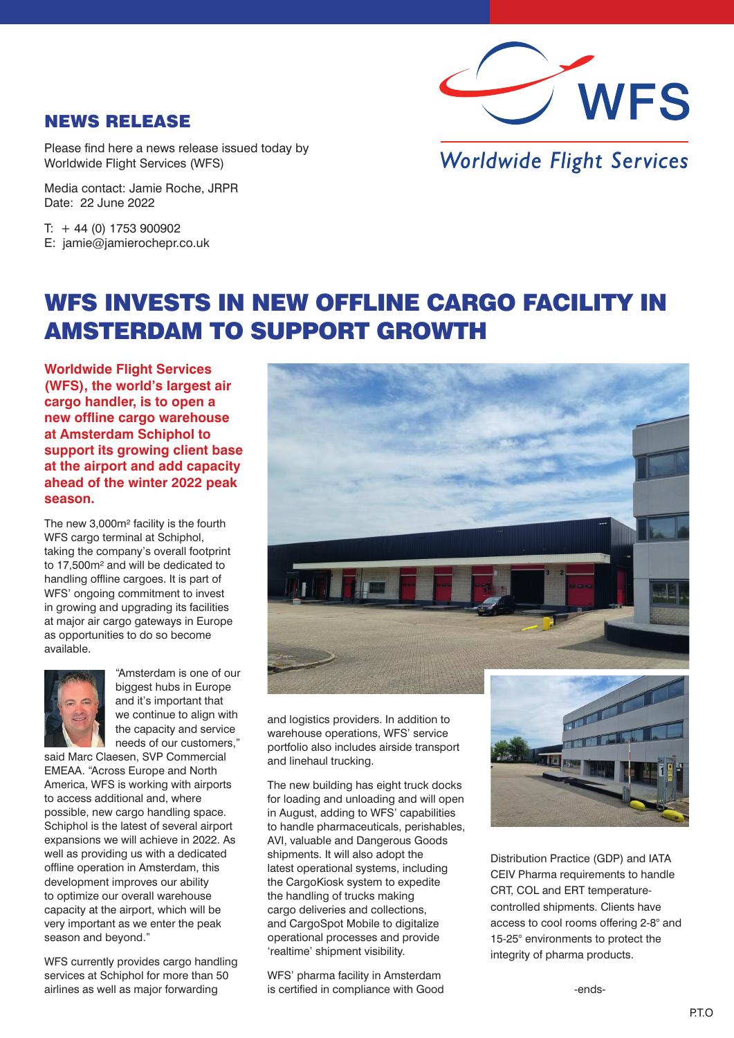

## NEWS RELEASE

Please find here a news release issued today by Worldwide Flight Services (WFS)

Media contact: Jamie Roche, JRPR Date: 22 June 2022

 $T: +44(0)$  1753 900902 E: jamie@jamierochepr.co.uk

## **Worldwide Flight Services**

## WFS INVESTS IN NEW OFFLINE CARGO FACILITY IN AMSTERDAM TO SUPPORT GROWTH

**Worldwide Flight Services (WFS), the world's largest air cargo handler, is to open a new offline cargo warehouse at Amsterdam Schiphol to support its growing client base at the airport and add capacity ahead of the winter 2022 peak season.** 

The new 3,000m² facility is the fourth WFS cargo terminal at Schiphol, taking the company's overall footprint to 17,500m² and will be dedicated to handling offline cargoes. It is part of WFS' ongoing commitment to invest in growing and upgrading its facilities at major air cargo gateways in Europe as opportunities to do so become available.



"Amsterdam is one of our biggest hubs in Europe and it's important that we continue to align with the capacity and service needs of our customers,"

said Marc Claesen, SVP Commercial EMEAA. "Across Europe and North America, WFS is working with airports to access additional and, where possible, new cargo handling space. Schiphol is the latest of several airport expansions we will achieve in 2022. As well as providing us with a dedicated offline operation in Amsterdam, this development improves our ability to optimize our overall warehouse capacity at the airport, which will be very important as we enter the peak season and beyond."

WFS currently provides cargo handling services at Schiphol for more than 50 airlines as well as major forwarding



and logistics providers. In addition to warehouse operations, WFS' service portfolio also includes airside transport and linehaul trucking.

The new building has eight truck docks for loading and unloading and will open in August, adding to WFS' capabilities to handle pharmaceuticals, perishables, AVI, valuable and Dangerous Goods shipments. It will also adopt the latest operational systems, including the CargoKiosk system to expedite the handling of trucks making cargo deliveries and collections, and CargoSpot Mobile to digitalize operational processes and provide 'realtime' shipment visibility.

WFS' pharma facility in Amsterdam is certified in compliance with Good



Distribution Practice (GDP) and IATA CEIV Pharma requirements to handle CRT, COL and ERT temperaturecontrolled shipments. Clients have access to cool rooms offering 2-8° and 15-25° environments to protect the integrity of pharma products.